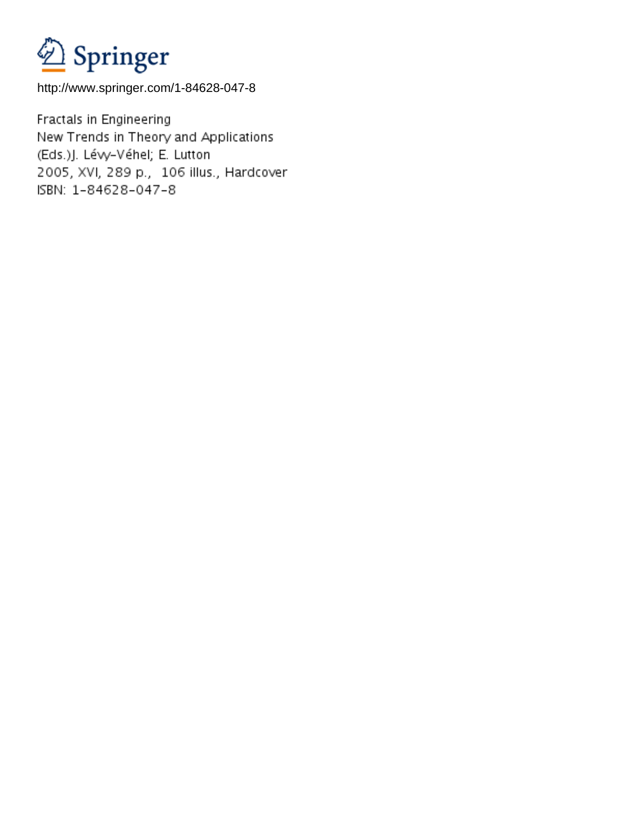

http://www.springer.com/1-84628-047-8

Fractals in Engineering New Trends in Theory and Applications (Eds.)J. Lévy-Véhel; E. Lutton 2005, XVI, 289 p., 106 illus., Hardcover ISBN: 1-84628-047-8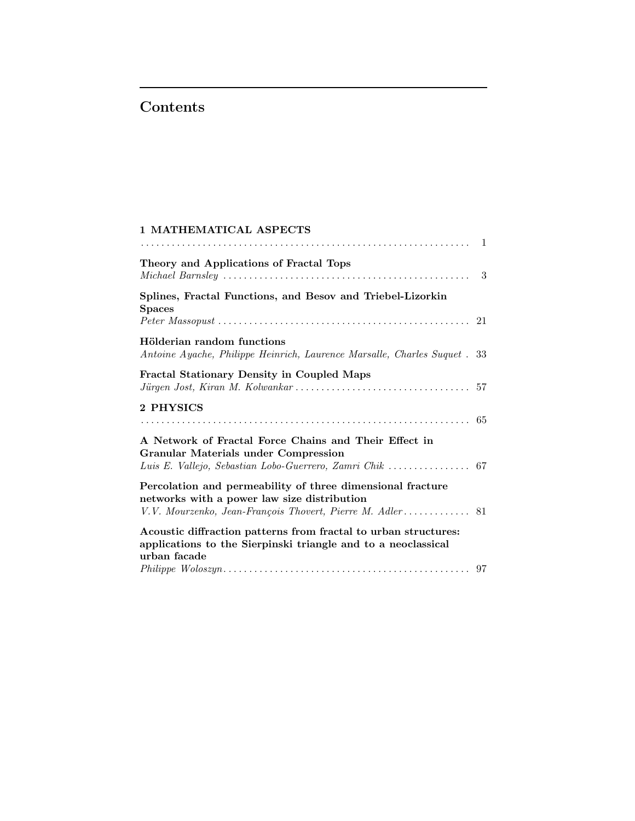## Contents

| <b>1 MATHEMATICAL ASPECTS</b>                                                                                                                                          |  |
|------------------------------------------------------------------------------------------------------------------------------------------------------------------------|--|
| Theory and Applications of Fractal Tops                                                                                                                                |  |
| Splines, Fractal Functions, and Besov and Triebel-Lizorkin<br><b>Spaces</b>                                                                                            |  |
| Hölderian random functions<br>Antoine Ayache, Philippe Heinrich, Laurence Marsalle, Charles Suquet . 33                                                                |  |
| <b>Fractal Stationary Density in Coupled Maps</b>                                                                                                                      |  |
| 2 PHYSICS                                                                                                                                                              |  |
| A Network of Fractal Force Chains and Their Effect in<br><b>Granular Materials under Compression</b><br>Luis E. Vallejo, Sebastian Lobo-Guerrero, Zamri Chik  67       |  |
| Percolation and permeability of three dimensional fracture<br>networks with a power law size distribution<br>V.V. Mourzenko, Jean-François Thovert, Pierre M. Adler 81 |  |
| Acoustic diffraction patterns from fractal to urban structures:<br>applications to the Sierpinski triangle and to a neoclassical<br>urban facade                       |  |
|                                                                                                                                                                        |  |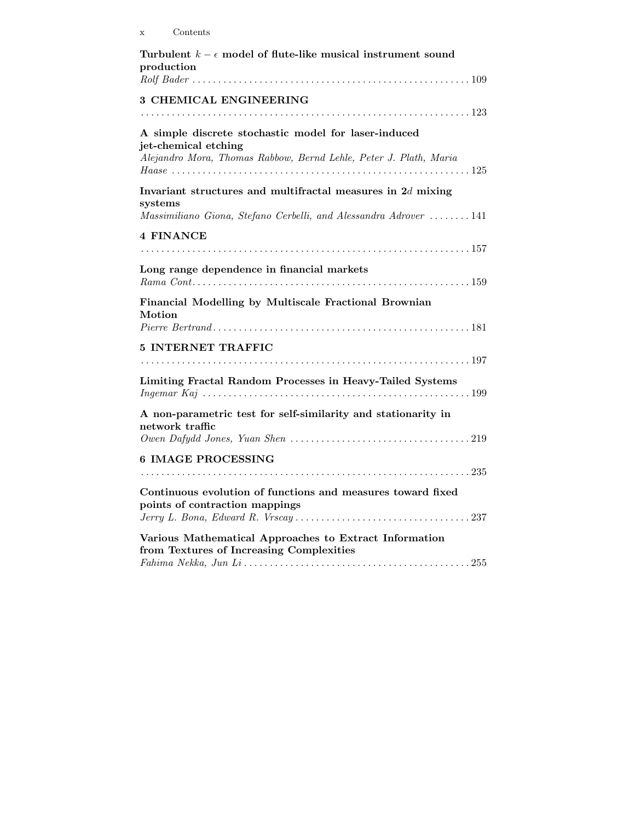| Turbulent $k - \epsilon$ model of flute-like musical instrument sound<br>production                |
|----------------------------------------------------------------------------------------------------|
|                                                                                                    |
| 3 CHEMICAL ENGINEERING                                                                             |
|                                                                                                    |
| A simple discrete stochastic model for laser-induced<br>jet-chemical etching                       |
| Alejandro Mora, Thomas Rabbow, Bernd Lehle, Peter J. Plath, Maria                                  |
| Invariant structures and multifractal measures in $2d$ mixing<br>systems                           |
| Massimiliano Giona, Stefano Cerbelli, and Alessandra Adrover  141                                  |
| <b>4 FINANCE</b>                                                                                   |
|                                                                                                    |
| Long range dependence in financial markets                                                         |
| Financial Modelling by Multiscale Fractional Brownian<br>Motion                                    |
| 5 INTERNET TRAFFIC                                                                                 |
|                                                                                                    |
| Limiting Fractal Random Processes in Heavy-Tailed Systems                                          |
|                                                                                                    |
| A non-parametric test for self-similarity and stationarity in<br>network traffic                   |
|                                                                                                    |
| 6 IMAGE PROCESSING                                                                                 |
|                                                                                                    |
| Continuous evolution of functions and measures toward fixed<br>points of contraction mappings      |
|                                                                                                    |
| Various Mathematical Approaches to Extract Information<br>from Textures of Increasing Complexities |
|                                                                                                    |